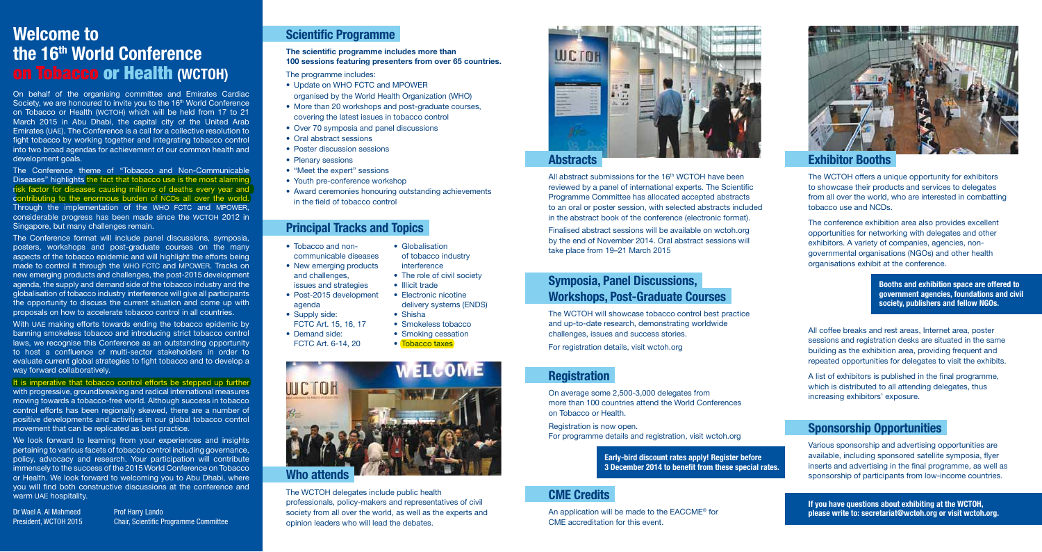# **Scientific Programme**

**The scientific programme includes more than 100 sessions featuring presenters from over 65 countries.** 

The programme includes:

- Update on WHO FCTC and MPOWER organised by the World Health Organization (WHO)
- More than 20 workshops and post-graduate courses. covering the latest issues in tobacco control
- Over 70 symposia and panel discussions
- Oral abstract sessions
- Poster discussion sessions
- Plenary sessions
- "Meet the expert" sessions
- Youth pre-conference workshop
- Award ceremonies honouring outstanding achievements in the field of tobacco control

All abstract submissions for the  $16<sup>th</sup>$  WCTOH have been reviewed by a panel of international experts. The Scientific Programme Committee has allocated accepted abstracts to an oral or poster session, with selected abstracts included in the abstract book of the conference (electronic format).

#### **Principal Tracks and Topics**

**If you have questions about exhibiting at the WCTOH, please write to: secretariat@wctoh.org or visit wctoh.org.**

**Abstracts**

Finalised abstract sessions will be available on wctoh.org by the end of November 2014. Oral abstract sessions will take place from 19–21 March 2015



### **Symposia, Panel Discussions, Workshops, Post-Graduate Courses**

The WCTOH will showcase tobacco control best practice and up-to-date research, demonstrating worldwide challenges, issues and success stories. For registration details, visit wctoh.org

## **Registration**

On average some 2,500-3,000 delegates from more than 100 countries attend the World Conferences on Tobacco or Health.

On behalf of the organising committee and Emirates Cardiac Society, we are honoured to invite you to the 16<sup>th</sup> World Conference on Tobacco or Health (WCTOH) which will be held from 17 to 21 March 2015 in Abu Dhabi, the capital city of the United Arab Emirates (UAE). The Conference is a call for a collective resolution to fight tobacco by working together and integrating tobacco control into two broad agendas for achievement of our common health and development goals.

> Registration is now open. For programme details and registration, visit wctoh.org

# **CME Credits**

An application will be made to the EACCME® for CME accreditation for this event.



The WCTOH offers a unique opportunity for exhibitors to showcase their products and services to delegates from all over the world, who are interested in combatting tobacco use and NCDs.

The conference exhibition area also provides excellent opportunities for networking with delegates and other exhibitors. A variety of companies, agencies, nongovernmental organisations (NGOs) and other health organisations exhibit at the conference.

All coffee breaks and rest areas, Internet area, poster sessions and registration desks are situated in the same building as the exhibition area, providing frequent and repeated opportunities for delegates to visit the exhibits.

A list of exhibitors is published in the final programme, which is distributed to all attending delegates, thus increasing exhibitors' exposure.

#### **Sponsorship Opportunities**

It is imperative that tobacco control efforts be stepped up further with progressive, groundbreaking and radical international measures moving towards a tobacco-free world. Although success in tobacco control efforts has been regionally skewed, there are a number of positive developments and activities in our global tobacco control movement that can be replicated as best practice.

> Various sponsorship and advertising opportunities are available, including sponsored satellite symposia, flyer inserts and advertising in the final programme, as well as sponsorship of participants from low-income countries.

We look forward to learning from your experiences and insights pertaining to various facets of tobacco control including governance, policy, advocacy and research. Your participation will contribute immensely to the success of the 2015 World Conference on Tobacco or Health. We look forward to welcoming you to Abu Dhabi, where you will find both constructive discussions at the conference and warm UAE hospitality.

Dr Wael A. Al Mahmeed Prof Harry Lando

**Booths and exhibition space are offered to government agencies, foundations and civil society, publishers and fellow NGOs.**

**Early-bird discount rates apply! Register before 3 December 2014 to benefit from these special rates.**

# **Welcome to the 16th World Conference**  on Tobacco or Health **(WCTOH)**

- Tobacco and non-• Globalisation
- New emerging products and challenges,
- issues and strategies
- Post-2015 development
- agenda • Supply side:
- FCTC Art. 15, 16, 17
- Demand side:
- FCTC Art. 6-14, 20

of tobacco industry interference • The role of civil society

The Conference theme of "Tobacco and Non-Communicable Diseases" highlights the fact that tobacco use is the most alarming risk factor for diseases causing millions of deaths every year and contributing to the enormous burden of NCDs all over the world. Through the implementation of the WHO FCTC and MPOWER, considerable progress has been made since the WCTOH 2012 in Singapore, but many challenges remain.

The Conference format will include panel discussions, symposia, posters, workshops and post-graduate courses on the many aspects of the tobacco epidemic and will highlight the efforts being made to control it through the WHO FCTC and MPOWER. Tracks on new emerging products and challenges, the post-2015 development agenda, the supply and demand side of the tobacco industry and the globalisation of tobacco industry interference will give all participants the opportunity to discuss the current situation and come up with proposals on how to accelerate tobacco control in all countries.

With UAE making efforts towards ending the tobacco epidemic by banning smokeless tobacco and introducing strict tobacco control laws, we recognise this Conference as an outstanding opportunity to host a confluence of multi-sector stakeholders in order to evaluate current global strategies to fight tobacco and to develop a way forward collaboratively.

President, WCTOH 2015 Chair, Scientific Programme Committee



#### The WCTOH delegates include public health professionals, policy-makers and representatives of civil society from all over the world, as well as the experts and opinion leaders who will lead the debates.



- • Illicit trade
- Electronic nicotine
- delivery systems (ENDS) • Shisha
- Smokeless tobacco
- Smoking cessation
- Tobacco taxes
- communicable diseases